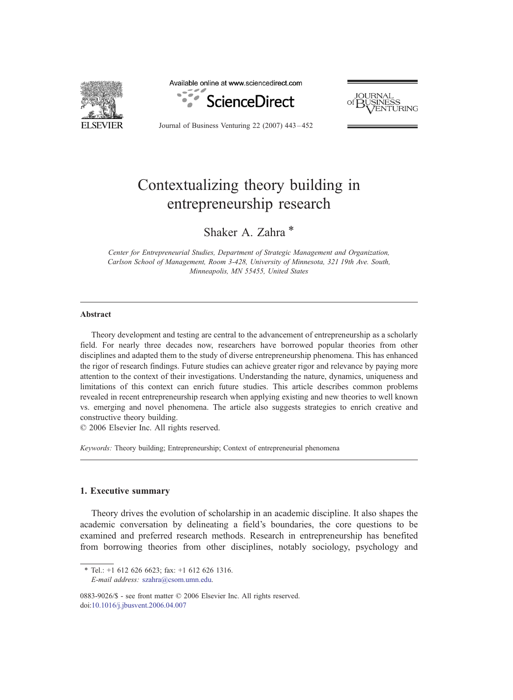

Available online at www.sciencedirect.com







# Contextualizing theory building in entrepreneurship research

## Shaker A. Zahra \*

Center for Entrepreneurial Studies, Department of Strategic Management and Organization, Carlson School of Management, Room 3-428, University of Minnesota, 321 19th Ave. South, Minneapolis, MN 55455, United States

#### Abstract

Theory development and testing are central to the advancement of entrepreneurship as a scholarly field. For nearly three decades now, researchers have borrowed popular theories from other disciplines and adapted them to the study of diverse entrepreneurship phenomena. This has enhanced the rigor of research findings. Future studies can achieve greater rigor and relevance by paying more attention to the context of their investigations. Understanding the nature, dynamics, uniqueness and limitations of this context can enrich future studies. This article describes common problems revealed in recent entrepreneurship research when applying existing and new theories to well known vs. emerging and novel phenomena. The article also suggests strategies to enrich creative and constructive theory building.

 $© 2006 Elsevier Inc. All rights reserved.$ 

Keywords: Theory building; Entrepreneurship; Context of entrepreneurial phenomena

#### 1. Executive summary

Theory drives the evolution of scholarship in an academic discipline. It also shapes the academic conversation by delineating a field's boundaries, the core questions to be examined and preferred research methods. Research in entrepreneurship has benefited from borrowing theories from other disciplines, notably sociology, psychology and

<sup>\*</sup> Tel.: +1 612 626 6623; fax: +1 612 626 1316. E-mail address: szahra@csom.umn.edu.

<sup>0883-9026/\$ -</sup> see front matter © 2006 Elsevier Inc. All rights reserved. doi[:10.1016/j.jbusvent.2006.04.007](http://dx.doi.org/10.1016/j.jbusvent.2006.04.007)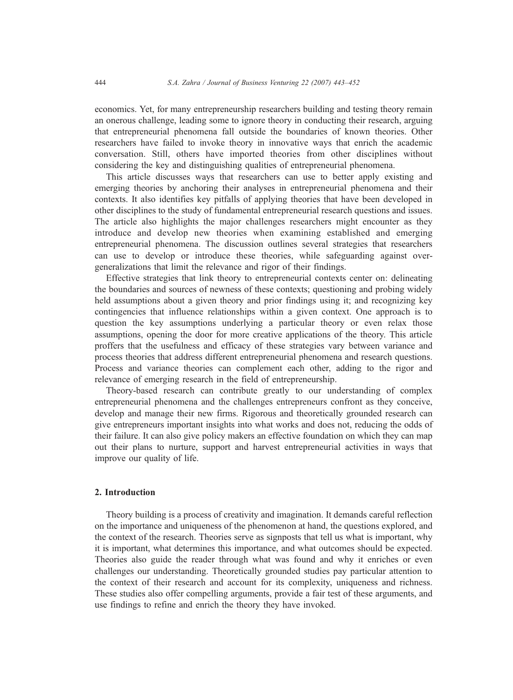economics. Yet, for many entrepreneurship researchers building and testing theory remain an onerous challenge, leading some to ignore theory in conducting their research, arguing that entrepreneurial phenomena fall outside the boundaries of known theories. Other researchers have failed to invoke theory in innovative ways that enrich the academic conversation. Still, others have imported theories from other disciplines without considering the key and distinguishing qualities of entrepreneurial phenomena.

This article discusses ways that researchers can use to better apply existing and emerging theories by anchoring their analyses in entrepreneurial phenomena and their contexts. It also identifies key pitfalls of applying theories that have been developed in other disciplines to the study of fundamental entrepreneurial research questions and issues. The article also highlights the major challenges researchers might encounter as they introduce and develop new theories when examining established and emerging entrepreneurial phenomena. The discussion outlines several strategies that researchers can use to develop or introduce these theories, while safeguarding against overgeneralizations that limit the relevance and rigor of their findings.

Effective strategies that link theory to entrepreneurial contexts center on: delineating the boundaries and sources of newness of these contexts; questioning and probing widely held assumptions about a given theory and prior findings using it; and recognizing key contingencies that influence relationships within a given context. One approach is to question the key assumptions underlying a particular theory or even relax those assumptions, opening the door for more creative applications of the theory. This article proffers that the usefulness and efficacy of these strategies vary between variance and process theories that address different entrepreneurial phenomena and research questions. Process and variance theories can complement each other, adding to the rigor and relevance of emerging research in the field of entrepreneurship.

Theory-based research can contribute greatly to our understanding of complex entrepreneurial phenomena and the challenges entrepreneurs confront as they conceive, develop and manage their new firms. Rigorous and theoretically grounded research can give entrepreneurs important insights into what works and does not, reducing the odds of their failure. It can also give policy makers an effective foundation on which they can map out their plans to nurture, support and harvest entrepreneurial activities in ways that improve our quality of life.

#### 2. Introduction

Theory building is a process of creativity and imagination. It demands careful reflection on the importance and uniqueness of the phenomenon at hand, the questions explored, and the context of the research. Theories serve as signposts that tell us what is important, why it is important, what determines this importance, and what outcomes should be expected. Theories also guide the reader through what was found and why it enriches or even challenges our understanding. Theoretically grounded studies pay particular attention to the context of their research and account for its complexity, uniqueness and richness. These studies also offer compelling arguments, provide a fair test of these arguments, and use findings to refine and enrich the theory they have invoked.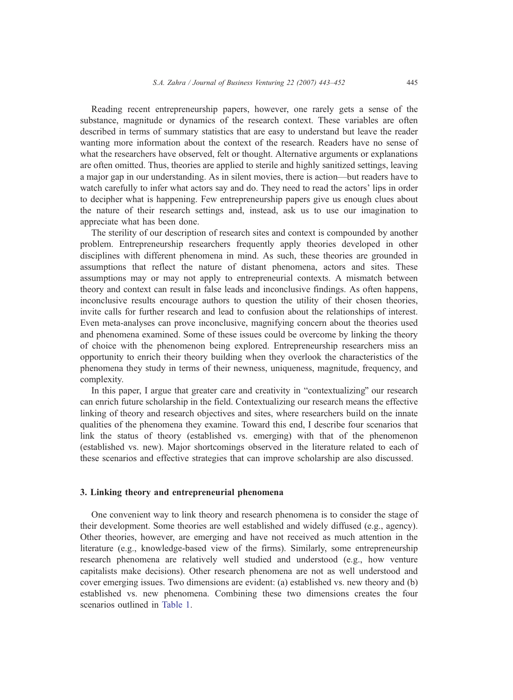Reading recent entrepreneurship papers, however, one rarely gets a sense of the substance, magnitude or dynamics of the research context. These variables are often described in terms of summary statistics that are easy to understand but leave the reader wanting more information about the context of the research. Readers have no sense of what the researchers have observed, felt or thought. Alternative arguments or explanations are often omitted. Thus, theories are applied to sterile and highly sanitized settings, leaving a major gap in our understanding. As in silent movies, there is action—but readers have to watch carefully to infer what actors say and do. They need to read the actors' lips in order to decipher what is happening. Few entrepreneurship papers give us enough clues about the nature of their research settings and, instead, ask us to use our imagination to appreciate what has been done.

The sterility of our description of research sites and context is compounded by another problem. Entrepreneurship researchers frequently apply theories developed in other disciplines with different phenomena in mind. As such, these theories are grounded in assumptions that reflect the nature of distant phenomena, actors and sites. These assumptions may or may not apply to entrepreneurial contexts. A mismatch between theory and context can result in false leads and inconclusive findings. As often happens, inconclusive results encourage authors to question the utility of their chosen theories, invite calls for further research and lead to confusion about the relationships of interest. Even meta-analyses can prove inconclusive, magnifying concern about the theories used and phenomena examined. Some of these issues could be overcome by linking the theory of choice with the phenomenon being explored. Entrepreneurship researchers miss an opportunity to enrich their theory building when they overlook the characteristics of the phenomena they study in terms of their newness, uniqueness, magnitude, frequency, and complexity.

In this paper, I argue that greater care and creativity in "contextualizing" our research can enrich future scholarship in the field. Contextualizing our research means the effective linking of theory and research objectives and sites, where researchers build on the innate qualities of the phenomena they examine. Toward this end, I describe four scenarios that link the status of theory (established vs. emerging) with that of the phenomenon (established vs. new). Major shortcomings observed in the literature related to each of these scenarios and effective strategies that can improve scholarship are also discussed.

#### 3. Linking theory and entrepreneurial phenomena

One convenient way to link theory and research phenomena is to consider the stage of their development. Some theories are well established and widely diffused (e.g., agency). Other theories, however, are emerging and have not received as much attention in the literature (e.g., knowledge-based view of the firms). Similarly, some entrepreneurship research phenomena are relatively well studied and understood (e.g., how venture capitalists make decisions). Other research phenomena are not as well understood and cover emerging issues. Two dimensions are evident: (a) established vs. new theory and (b) established vs. new phenomena. Combining these two dimensions creates the four scenarios outlined in [Table 1.](#page-3-0)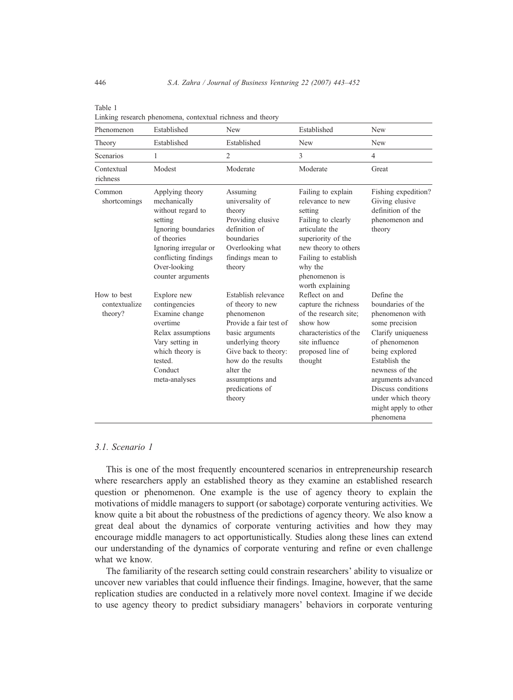| Phenomenon                              | Established                                                                                                                                                                                 | <b>New</b>                                                                                                                                                                                                                         | Established                                                                                                                                                                                                     | <b>New</b>                                                                                                                                                                                                                                                              |
|-----------------------------------------|---------------------------------------------------------------------------------------------------------------------------------------------------------------------------------------------|------------------------------------------------------------------------------------------------------------------------------------------------------------------------------------------------------------------------------------|-----------------------------------------------------------------------------------------------------------------------------------------------------------------------------------------------------------------|-------------------------------------------------------------------------------------------------------------------------------------------------------------------------------------------------------------------------------------------------------------------------|
| Theory                                  | Established                                                                                                                                                                                 | Established                                                                                                                                                                                                                        | New                                                                                                                                                                                                             | New                                                                                                                                                                                                                                                                     |
| Scenarios                               | 1                                                                                                                                                                                           | $\overline{2}$                                                                                                                                                                                                                     | 3                                                                                                                                                                                                               | $\overline{4}$                                                                                                                                                                                                                                                          |
| Contextual<br>richness                  | Modest                                                                                                                                                                                      | Moderate                                                                                                                                                                                                                           | Moderate                                                                                                                                                                                                        | Great                                                                                                                                                                                                                                                                   |
| Common<br>shortcomings                  | Applying theory<br>mechanically<br>without regard to<br>setting<br>Ignoring boundaries<br>of theories<br>Ignoring irregular or<br>conflicting findings<br>Over-looking<br>counter arguments | Assuming<br>universality of<br>theory<br>Providing elusive<br>definition of<br>boundaries<br>Overlooking what<br>findings mean to<br>theory                                                                                        | Failing to explain<br>relevance to new<br>setting<br>Failing to clearly<br>articulate the<br>superiority of the<br>new theory to others<br>Failing to establish<br>why the<br>phenomenon is<br>worth explaining | Fishing expedition?<br>Giving elusive<br>definition of the<br>phenomenon and<br>theory                                                                                                                                                                                  |
| How to best<br>contextualize<br>theory? | Explore new<br>contingencies<br>Examine change<br>overtime<br>Relax assumptions<br>Vary setting in<br>which theory is<br>tested.<br>Conduct<br>meta-analyses                                | Establish relevance<br>of theory to new<br>phenomenon<br>Provide a fair test of<br>basic arguments<br>underlying theory<br>Give back to theory:<br>how do the results<br>alter the<br>assumptions and<br>predications of<br>theory | Reflect on and<br>capture the richness<br>of the research site;<br>show how<br>characteristics of the<br>site influence<br>proposed line of<br>thought                                                          | Define the<br>boundaries of the<br>phenomenon with<br>some precision<br>Clarify uniqueness<br>of phenomenon<br>being explored<br>Establish the<br>newness of the<br>arguments advanced<br>Discuss conditions<br>under which theory<br>might apply to other<br>phenomena |

### 3.1. Scenario 1

This is one of the most frequently encountered scenarios in entrepreneurship research where researchers apply an established theory as they examine an established research question or phenomenon. One example is the use of agency theory to explain the motivations of middle managers to support (or sabotage) corporate venturing activities. We know quite a bit about the robustness of the predictions of agency theory. We also know a great deal about the dynamics of corporate venturing activities and how they may encourage middle managers to act opportunistically. Studies along these lines can extend our understanding of the dynamics of corporate venturing and refine or even challenge what we know.

The familiarity of the research setting could constrain researchers' ability to visualize or uncover new variables that could influence their findings. Imagine, however, that the same replication studies are conducted in a relatively more novel context. Imagine if we decide to use agency theory to predict subsidiary managers' behaviors in corporate venturing

<span id="page-3-0"></span>

Table 1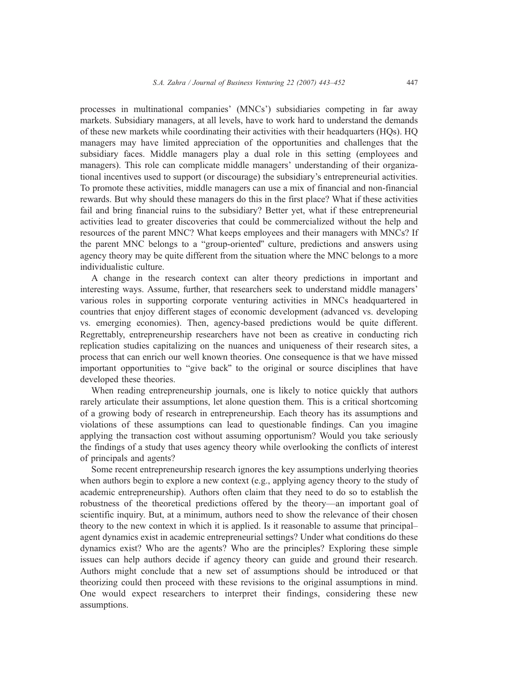processes in multinational companies' (MNCs') subsidiaries competing in far away markets. Subsidiary managers, at all levels, have to work hard to understand the demands of these new markets while coordinating their activities with their headquarters (HQs). HQ managers may have limited appreciation of the opportunities and challenges that the subsidiary faces. Middle managers play a dual role in this setting (employees and managers). This role can complicate middle managers' understanding of their organizational incentives used to support (or discourage) the subsidiary's entrepreneurial activities. To promote these activities, middle managers can use a mix of financial and non-financial rewards. But why should these managers do this in the first place? What if these activities fail and bring financial ruins to the subsidiary? Better yet, what if these entrepreneurial activities lead to greater discoveries that could be commercialized without the help and resources of the parent MNC? What keeps employees and their managers with MNCs? If the parent MNC belongs to a "group-oriented" culture, predictions and answers using agency theory may be quite different from the situation where the MNC belongs to a more individualistic culture.

A change in the research context can alter theory predictions in important and interesting ways. Assume, further, that researchers seek to understand middle managers' various roles in supporting corporate venturing activities in MNCs headquartered in countries that enjoy different stages of economic development (advanced vs. developing vs. emerging economies). Then, agency-based predictions would be quite different. Regrettably, entrepreneurship researchers have not been as creative in conducting rich replication studies capitalizing on the nuances and uniqueness of their research sites, a process that can enrich our well known theories. One consequence is that we have missed important opportunities to "give back" to the original or source disciplines that have developed these theories.

When reading entrepreneurship journals, one is likely to notice quickly that authors rarely articulate their assumptions, let alone question them. This is a critical shortcoming of a growing body of research in entrepreneurship. Each theory has its assumptions and violations of these assumptions can lead to questionable findings. Can you imagine applying the transaction cost without assuming opportunism? Would you take seriously the findings of a study that uses agency theory while overlooking the conflicts of interest of principals and agents?

Some recent entrepreneurship research ignores the key assumptions underlying theories when authors begin to explore a new context (e.g., applying agency theory to the study of academic entrepreneurship). Authors often claim that they need to do so to establish the robustness of the theoretical predictions offered by the theory—an important goal of scientific inquiry. But, at a minimum, authors need to show the relevance of their chosen theory to the new context in which it is applied. Is it reasonable to assume that principal– agent dynamics exist in academic entrepreneurial settings? Under what conditions do these dynamics exist? Who are the agents? Who are the principles? Exploring these simple issues can help authors decide if agency theory can guide and ground their research. Authors might conclude that a new set of assumptions should be introduced or that theorizing could then proceed with these revisions to the original assumptions in mind. One would expect researchers to interpret their findings, considering these new assumptions.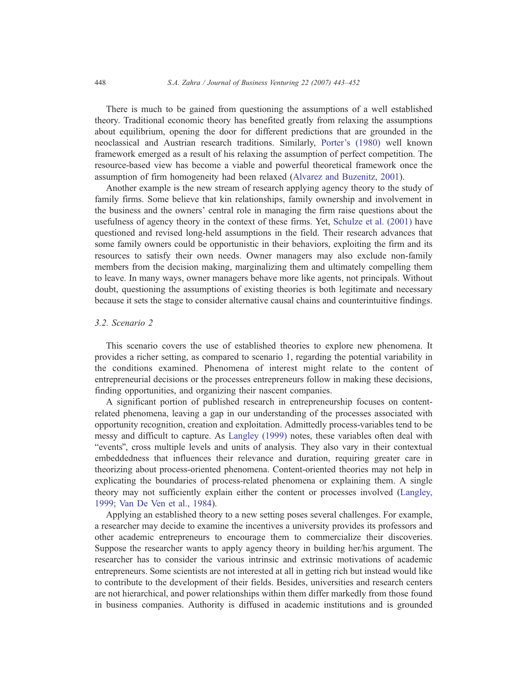There is much to be gained from questioning the assumptions of a well established theory. Traditional economic theory has benefited greatly from relaxing the assumptions about equilibrium, opening the door for different predictions that are grounded in the neoclassical and Austrian research traditions. Similarly, [Porter's \(1980\)](#page-9-0) well known framework emerged as a result of his relaxing the assumption of perfect competition. The resource-based view has become a viable and powerful theoretical framework once the assumption of firm homogeneity had been relaxed ([Alvarez and Buzenitz, 2001\)](#page-9-0).

Another example is the new stream of research applying agency theory to the study of family firms. Some believe that kin relationships, family ownership and involvement in the business and the owners' central role in managing the firm raise questions about the usefulness of agency theory in the context of these firms. Yet, [Schulze et al. \(2001\)](#page-9-0) have questioned and revised long-held assumptions in the field. Their research advances that some family owners could be opportunistic in their behaviors, exploiting the firm and its resources to satisfy their own needs. Owner managers may also exclude non-family members from the decision making, marginalizing them and ultimately compelling them to leave. In many ways, owner managers behave more like agents, not principals. Without doubt, questioning the assumptions of existing theories is both legitimate and necessary because it sets the stage to consider alternative causal chains and counterintuitive findings.

#### 3.2. Scenario 2

This scenario covers the use of established theories to explore new phenomena. It provides a richer setting, as compared to scenario 1, regarding the potential variability in the conditions examined. Phenomena of interest might relate to the content of entrepreneurial decisions or the processes entrepreneurs follow in making these decisions, finding opportunities, and organizing their nascent companies.

A significant portion of published research in entrepreneurship focuses on contentrelated phenomena, leaving a gap in our understanding of the processes associated with opportunity recognition, creation and exploitation. Admittedly process-variables tend to be messy and difficult to capture. As [Langley \(1999\)](#page-9-0) notes, these variables often deal with "events", cross multiple levels and units of analysis. They also vary in their contextual embeddedness that influences their relevance and duration, requiring greater care in theorizing about process-oriented phenomena. Content-oriented theories may not help in explicating the boundaries of process-related phenomena or explaining them. A single theory may not sufficiently explain either the content or processes involved ([Langley,](#page-9-0) 1999; Van De Ven et al., 1984).

Applying an established theory to a new setting poses several challenges. For example, a researcher may decide to examine the incentives a university provides its professors and other academic entrepreneurs to encourage them to commercialize their discoveries. Suppose the researcher wants to apply agency theory in building her/his argument. The researcher has to consider the various intrinsic and extrinsic motivations of academic entrepreneurs. Some scientists are not interested at all in getting rich but instead would like to contribute to the development of their fields. Besides, universities and research centers are not hierarchical, and power relationships within them differ markedly from those found in business companies. Authority is diffused in academic institutions and is grounded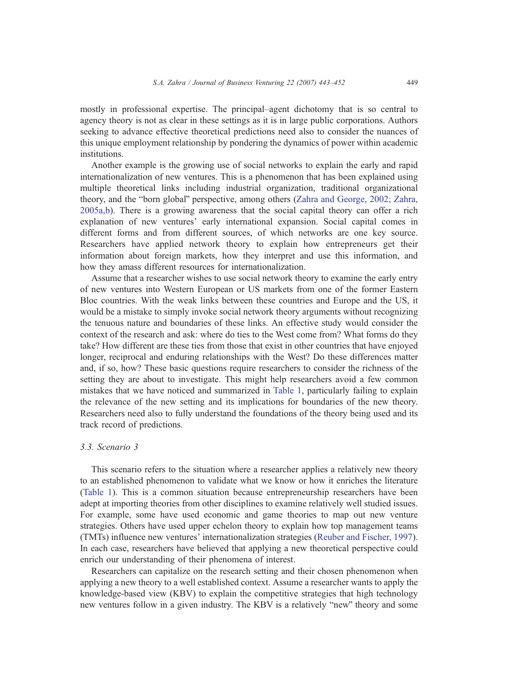mostly in professional expertise. The principal–agent dichotomy that is so central to agency theory is not as clear in these settings as it is in large public corporations. Authors seeking to advance effective theoretical predictions need also to consider the nuances of this unique employment relationship by pondering the dynamics of power within academic institutions.

Another example is the growing use of social networks to explain the early and rapid internationalization of new ventures. This is a phenomenon that has been explained using multiple theoretical links including industrial organization, traditional organizational theory, and the "born global" perspective, among others ([Zahra and George, 2002; Zahra,](#page-9-0) 2005a,b). There is a growing awareness that the social capital theory can offer a rich explanation of new ventures' early international expansion. Social capital comes in different forms and from different sources, of which networks are one key source. Researchers have applied network theory to explain how entrepreneurs get their information about foreign markets, how they interpret and use this information, and how they amass different resources for internationalization.

Assume that a researcher wishes to use social network theory to examine the early entry of new ventures into Western European or US markets from one of the former Eastern Bloc countries. With the weak links between these countries and Europe and the US, it would be a mistake to simply invoke social network theory arguments without recognizing the tenuous nature and boundaries of these links. An effective study would consider the context of the research and ask: where do ties to the West come from? What forms do they take? How different are these ties from those that exist in other countries that have enjoyed longer, reciprocal and enduring relationships with the West? Do these differences matter and, if so, how? These basic questions require researchers to consider the richness of the setting they are about to investigate. This might help researchers avoid a few common mistakes that we have noticed and summarized in [Table 1,](#page-3-0) particularly failing to explain the relevance of the new setting and its implications for boundaries of the new theory. Researchers need also to fully understand the foundations of the theory being used and its track record of predictions.

#### 3.3. Scenario 3

This scenario refers to the situation where a researcher applies a relatively new theory to an established phenomenon to validate what we know or how it enriches the literature ([Table 1\)](#page-3-0). This is a common situation because entrepreneurship researchers have been adept at importing theories from other disciplines to examine relatively well studied issues. For example, some have used economic and game theories to map out new venture strategies. Others have used upper echelon theory to explain how top management teams (TMTs) influence new ventures' internationalization strategies ([Reuber and Fischer, 1997\)](#page-9-0). In each case, researchers have believed that applying a new theoretical perspective could enrich our understanding of their phenomena of interest.

Researchers can capitalize on the research setting and their chosen phenomenon when applying a new theory to a well established context. Assume a researcher wants to apply the knowledge-based view (KBV) to explain the competitive strategies that high technology new ventures follow in a given industry. The KBV is a relatively "new" theory and some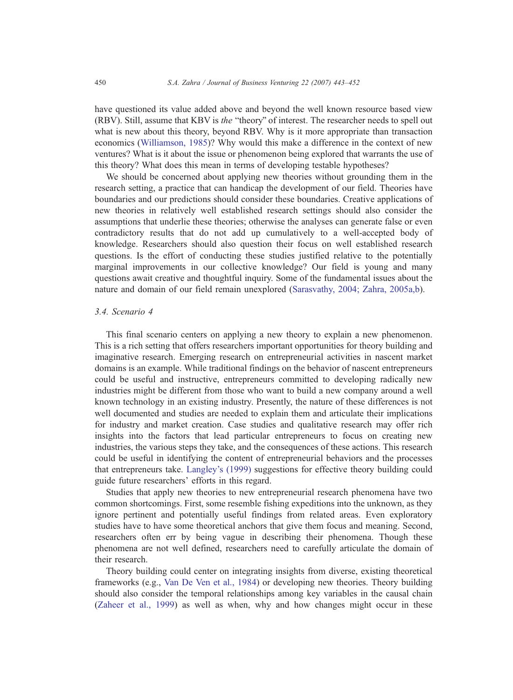have questioned its value added above and beyond the well known resource based view (RBV). Still, assume that KBV is the "theory" of interest. The researcher needs to spell out what is new about this theory, beyond RBV. Why is it more appropriate than transaction economics ([Williamson, 1985\)](#page-9-0)? Why would this make a difference in the context of new ventures? What is it about the issue or phenomenon being explored that warrants the use of this theory? What does this mean in terms of developing testable hypotheses?

We should be concerned about applying new theories without grounding them in the research setting, a practice that can handicap the development of our field. Theories have boundaries and our predictions should consider these boundaries. Creative applications of new theories in relatively well established research settings should also consider the assumptions that underlie these theories; otherwise the analyses can generate false or even contradictory results that do not add up cumulatively to a well-accepted body of knowledge. Researchers should also question their focus on well established research questions. Is the effort of conducting these studies justified relative to the potentially marginal improvements in our collective knowledge? Our field is young and many questions await creative and thoughtful inquiry. Some of the fundamental issues about the nature and domain of our field remain unexplored ([Sarasvathy, 2004; Zahra, 2005a,b\)](#page-9-0).

#### 3.4. Scenario 4

This final scenario centers on applying a new theory to explain a new phenomenon. This is a rich setting that offers researchers important opportunities for theory building and imaginative research. Emerging research on entrepreneurial activities in nascent market domains is an example. While traditional findings on the behavior of nascent entrepreneurs could be useful and instructive, entrepreneurs committed to developing radically new industries might be different from those who want to build a new company around a well known technology in an existing industry. Presently, the nature of these differences is not well documented and studies are needed to explain them and articulate their implications for industry and market creation. Case studies and qualitative research may offer rich insights into the factors that lead particular entrepreneurs to focus on creating new industries, the various steps they take, and the consequences of these actions. This research could be useful in identifying the content of entrepreneurial behaviors and the processes that entrepreneurs take. [Langley's \(1999\)](#page-9-0) suggestions for effective theory building could guide future researchers' efforts in this regard.

Studies that apply new theories to new entrepreneurial research phenomena have two common shortcomings. First, some resemble fishing expeditions into the unknown, as they ignore pertinent and potentially useful findings from related areas. Even exploratory studies have to have some theoretical anchors that give them focus and meaning. Second, researchers often err by being vague in describing their phenomena. Though these phenomena are not well defined, researchers need to carefully articulate the domain of their research.

Theory building could center on integrating insights from diverse, existing theoretical frameworks (e.g., [Van De Ven et al., 1984\)](#page-9-0) or developing new theories. Theory building should also consider the temporal relationships among key variables in the causal chain ([Zaheer et al., 1999\)](#page-9-0) as well as when, why and how changes might occur in these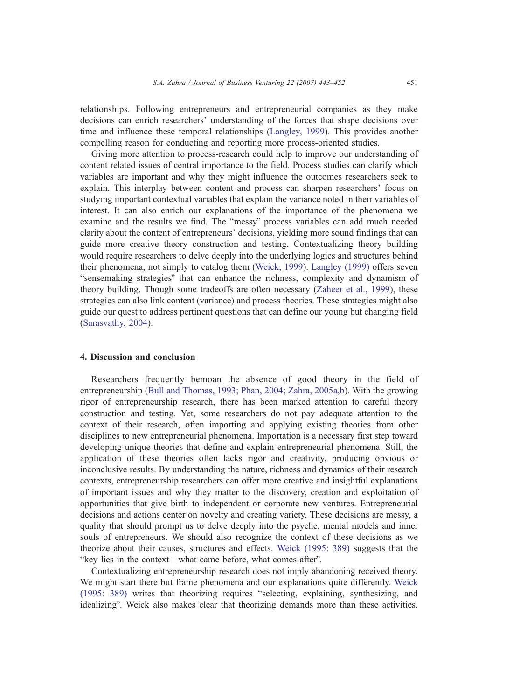relationships. Following entrepreneurs and entrepreneurial companies as they make decisions can enrich researchers' understanding of the forces that shape decisions over time and influence these temporal relationships ([Langley, 1999\)](#page-9-0). This provides another compelling reason for conducting and reporting more process-oriented studies.

Giving more attention to process-research could help to improve our understanding of content related issues of central importance to the field. Process studies can clarify which variables are important and why they might influence the outcomes researchers seek to explain. This interplay between content and process can sharpen researchers' focus on studying important contextual variables that explain the variance noted in their variables of interest. It can also enrich our explanations of the importance of the phenomena we examine and the results we find. The "messy" process variables can add much needed clarity about the content of entrepreneurs' decisions, yielding more sound findings that can guide more creative theory construction and testing. Contextualizing theory building would require researchers to delve deeply into the underlying logics and structures behind their phenomena, not simply to catalog them ([Weick, 1999\)](#page-9-0). [Langley \(1999\)](#page-9-0) offers seven "sensemaking strategies" that can enhance the richness, complexity and dynamism of theory building. Though some tradeoffs are often necessary ([Zaheer et al., 1999\)](#page-9-0), these strategies can also link content (variance) and process theories. These strategies might also guide our quest to address pertinent questions that can define our young but changing field ([Sarasvathy, 2004\)](#page-9-0).

#### 4. Discussion and conclusion

Researchers frequently bemoan the absence of good theory in the field of entrepreneurship ([Bull and Thomas, 1993; Phan, 2004; Zahra, 2005a,b\)](#page-9-0). With the growing rigor of entrepreneurship research, there has been marked attention to careful theory construction and testing. Yet, some researchers do not pay adequate attention to the context of their research, often importing and applying existing theories from other disciplines to new entrepreneurial phenomena. Importation is a necessary first step toward developing unique theories that define and explain entrepreneurial phenomena. Still, the application of these theories often lacks rigor and creativity, producing obvious or inconclusive results. By understanding the nature, richness and dynamics of their research contexts, entrepreneurship researchers can offer more creative and insightful explanations of important issues and why they matter to the discovery, creation and exploitation of opportunities that give birth to independent or corporate new ventures. Entrepreneurial decisions and actions center on novelty and creating variety. These decisions are messy, a quality that should prompt us to delve deeply into the psyche, mental models and inner souls of entrepreneurs. We should also recognize the context of these decisions as we theorize about their causes, structures and effects. [Weick \(1995: 389\)](#page-9-0) suggests that the "key lies in the context—what came before, what comes after".

Contextualizing entrepreneurship research does not imply abandoning received theory. We might start there but frame phenomena and our explanations quite differently. [Weick](#page-9-0) (1995: 389) writes that theorizing requires "selecting, explaining, synthesizing, and idealizing". Weick also makes clear that theorizing demands more than these activities.